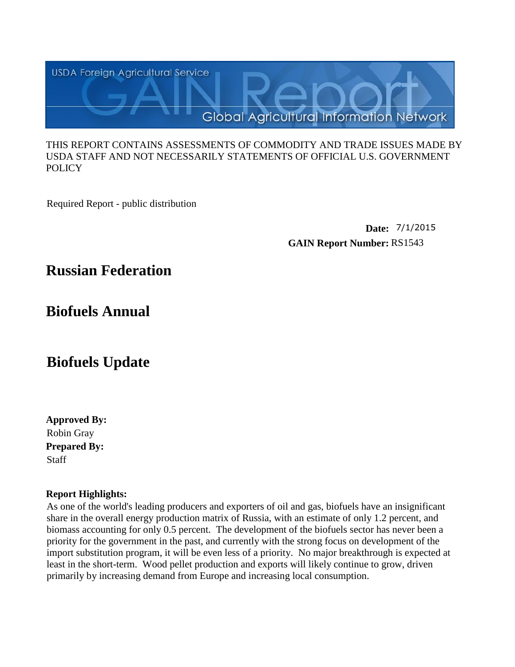

#### THIS REPORT CONTAINS ASSESSMENTS OF COMMODITY AND TRADE ISSUES MADE BY USDA STAFF AND NOT NECESSARILY STATEMENTS OF OFFICIAL U.S. GOVERNMENT **POLICY**

Required Report - public distribution

**Date:** 7/1/2015 **GAIN Report Number:** RS1543

# **Russian Federation**

**Biofuels Annual**

# **Biofuels Update**

**Approved By: Prepared By:** Staff Robin Gray

# **Report Highlights:**

As one of the world's leading producers and exporters of oil and gas, biofuels have an insignificant share in the overall energy production matrix of Russia, with an estimate of only 1.2 percent, and biomass accounting for only 0.5 percent. The development of the biofuels sector has never been a priority for the government in the past, and currently with the strong focus on development of the import substitution program, it will be even less of a priority. No major breakthrough is expected at least in the short-term. Wood pellet production and exports will likely continue to grow, driven primarily by increasing demand from Europe and increasing local consumption.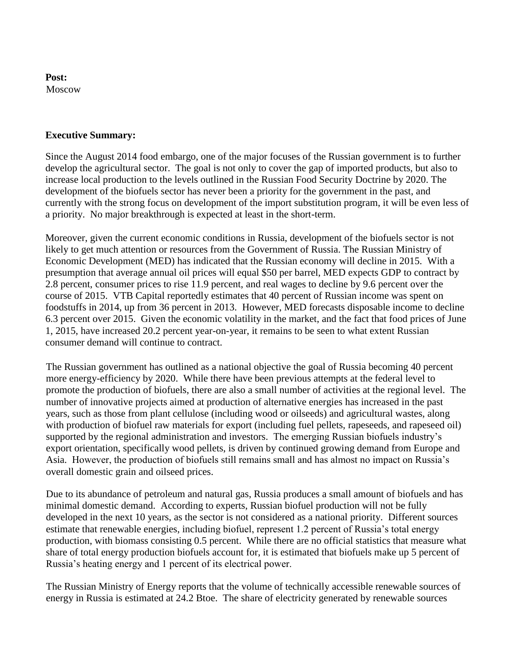#### **Post:** Moscow

#### **Executive Summary:**

Since the August 2014 food embargo, one of the major focuses of the Russian government is to further develop the agricultural sector. The goal is not only to cover the gap of imported products, but also to increase local production to the levels outlined in the Russian Food Security Doctrine by 2020. The development of the biofuels sector has never been a priority for the government in the past, and currently with the strong focus on development of the import substitution program, it will be even less of a priority. No major breakthrough is expected at least in the short-term.

Moreover, given the current economic conditions in Russia, development of the biofuels sector is not likely to get much attention or resources from the Government of Russia. The Russian Ministry of Economic Development (MED) has indicated that the Russian economy will decline in 2015. With a presumption that average annual oil prices will equal \$50 per barrel, MED expects GDP to contract by 2.8 percent, consumer prices to rise 11.9 percent, and real wages to decline by 9.6 percent over the course of 2015. VTB Capital reportedly estimates that 40 percent of Russian income was spent on foodstuffs in 2014, up from 36 percent in 2013. However, MED forecasts disposable income to decline 6.3 percent over 2015. Given the economic volatility in the market, and the fact that food prices of June 1, 2015, have increased 20.2 percent year-on-year, it remains to be seen to what extent Russian consumer demand will continue to contract.

The Russian government has outlined as a national objective the goal of Russia becoming 40 percent more energy-efficiency by 2020. While there have been previous attempts at the federal level to promote the production of biofuels, there are also a small number of activities at the regional level. The number of innovative projects aimed at production of alternative energies has increased in the past years, such as those from plant cellulose (including wood or oilseeds) and agricultural wastes, along with production of biofuel raw materials for export (including fuel pellets, rapeseeds, and rapeseed oil) supported by the regional administration and investors. The emerging Russian biofuels industry's export orientation, specifically wood pellets, is driven by continued growing demand from Europe and Asia. However, the production of biofuels still remains small and has almost no impact on Russia's overall domestic grain and oilseed prices.

Due to its abundance of petroleum and natural gas, Russia produces a small amount of biofuels and has minimal domestic demand. According to experts, Russian biofuel production will not be fully developed in the next 10 years, as the sector is not considered as a national priority. Different sources estimate that renewable energies, including biofuel, represent 1.2 percent of Russia's total energy production, with biomass consisting 0.5 percent. While there are no official statistics that measure what share of total energy production biofuels account for, it is estimated that biofuels make up 5 percent of Russia's heating energy and 1 percent of its electrical power.

The Russian Ministry of Energy reports that the volume of technically accessible renewable sources of energy in Russia is estimated at 24.2 Btoe. The share of electricity generated by renewable sources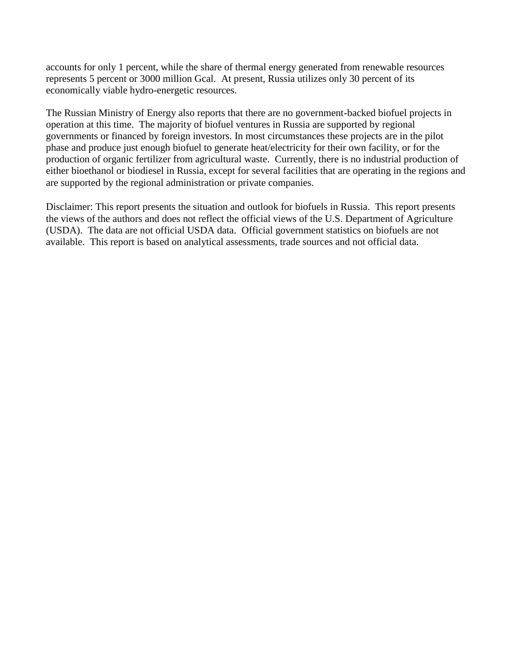accounts for only 1 percent, while the share of thermal energy generated from renewable resources represents 5 percent or 3000 million Gcal. At present, Russia utilizes only 30 percent of its economically viable hydro-energetic resources.

The Russian Ministry of Energy also reports that there are no government-backed biofuel projects in operation at this time. The majority of biofuel ventures in Russia are supported by regional governments or financed by foreign investors. In most circumstances these projects are in the pilot phase and produce just enough biofuel to generate heat/electricity for their own facility, or for the production of organic fertilizer from agricultural waste. Currently, there is no industrial production of either bioethanol or biodiesel in Russia, except for several facilities that are operating in the regions and are supported by the regional administration or private companies.

Disclaimer: This report presents the situation and outlook for biofuels in Russia. This report presents the views of the authors and does not reflect the official views of the U.S. Department of Agriculture (USDA). The data are not official USDA data. Official government statistics on biofuels are not available. This report is based on analytical assessments, trade sources and not official data.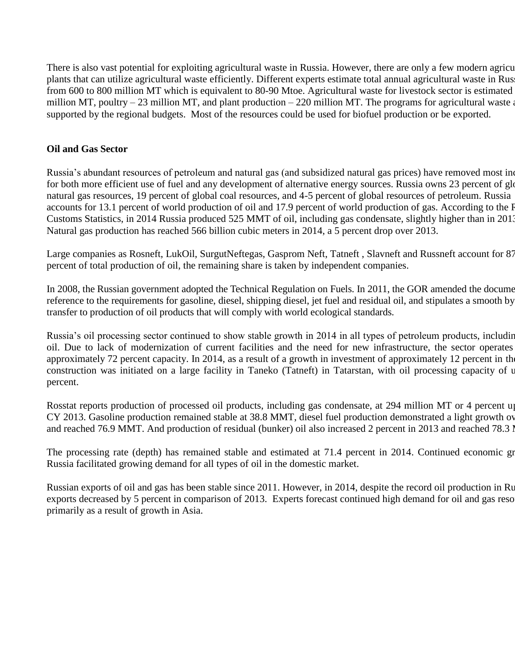There is also vast potential for exploiting agricultural waste in Russia. However, there are only a few modern agricu plants that can utilize agricultural waste efficiently. Different experts estimate total annual agricultural waste in Rus from 600 to 800 million MT which is equivalent to 80-90 Mtoe. Agricultural waste for livestock sector is estimated million MT, poultry – 23 million MT, and plant production – 220 million MT. The programs for agricultural waste are supported by the regional budgets. Most of the resources could be used for biofuel production or be exported.

#### **Oil and Gas Sector**

Russia's abundant resources of petroleum and natural gas (and subsidized natural gas prices) have removed most in for both more efficient use of fuel and any development of alternative energy sources. Russia owns 23 percent of glo natural gas resources, 19 percent of global coal resources, and 4-5 percent of global resources of petroleum. Russia accounts for 13.1 percent of world production of oil and 17.9 percent of world production of gas. According to the F Customs Statistics, in 2014 Russia produced 525 MMT of oil, including gas condensate, slightly higher than in 2013. Natural gas production has reached 566 billion cubic meters in 2014, a 5 percent drop over 2013.

Large companies as Rosneft, LukOil, SurgutNeftegas, Gasprom Neft, Tatneft , Slavneft and Russneft account for 87 percent of total production of oil, the remaining share is taken by independent companies.

In 2008, the Russian government adopted the Technical Regulation on Fuels. In 2011, the GOR amended the docume reference to the requirements for gasoline, diesel, shipping diesel, jet fuel and residual oil, and stipulates a smooth by transfer to production of oil products that will comply with world ecological standards.

Russia's oil processing sector continued to show stable growth in 2014 in all types of petroleum products, including oil. Due to lack of modernization of current facilities and the need for new infrastructure, the sector operates approximately 72 percent capacity. In 2014, as a result of a growth in investment of approximately 12 percent in th construction was initiated on a large facility in Taneko (Tatneft) in Tatarstan, with oil processing capacity of u percent.

Rosstat reports production of processed oil products, including gas condensate, at 294 million MT or 4 percent up CY 2013. Gasoline production remained stable at 38.8 MMT, diesel fuel production demonstrated a light growth ov and reached 76.9 MMT. And production of residual (bunker) oil also increased 2 percent in 2013 and reached 78.3 I

The processing rate (depth) has remained stable and estimated at 71.4 percent in 2014. Continued economic growth in 2014. Russia facilitated growing demand for all types of oil in the domestic market.

Russian exports of oil and gas has been stable since 2011. However, in 2014, despite the record oil production in Ru exports decreased by 5 percent in comparison of 2013. Experts forecast continued high demand for oil and gas reso primarily as a result of growth in Asia.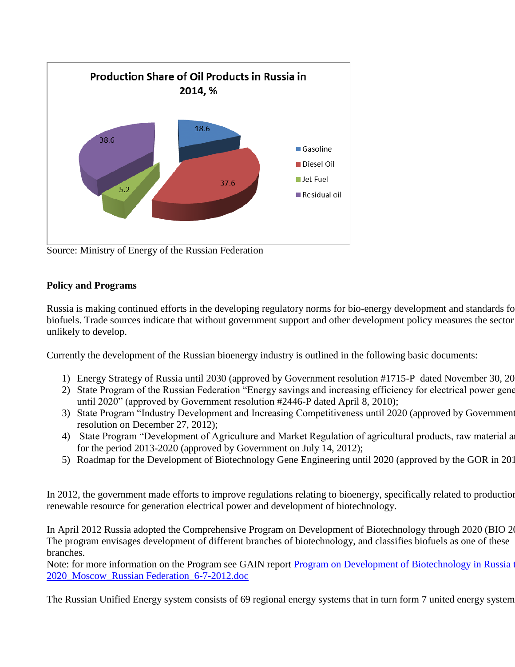

Source: Ministry of Energy of the Russian Federation

# **Policy and Programs**

Russia is making continued efforts in the developing regulatory norms for bio-energy development and standards for biofuels. Trade sources indicate that without government support and other development policy measures the sector unlikely to develop.

Currently the development of the Russian bioenergy industry is outlined in the following basic documents:

- 1) Energy Strategy of Russia until 2030 (approved by Government resolution #1715-P dated November 30, 20
- 2) State Program of the Russian Federation "Energy savings and increasing efficiency for electrical power gene until 2020" (approved by Government resolution #2446-P dated April 8, 2010);
- 3) State Program "Industry Development and Increasing Competitiveness until 2020 (approved by Government resolution on December 27, 2012);
- 4) State Program "Development of Agriculture and Market Regulation of agricultural products, raw material and for for the period 2013-2020 (approved by Government on July 14, 2012);
- 5) Roadmap for the Development of Biotechnology Gene Engineering until 2020 (approved by the GOR in 2013).

In 2012, the government made efforts to improve regulations relating to bioenergy, specifically related to production renewable resource for generation electrical power and development of biotechnology.

In April 2012 Russia adopted the Comprehensive Program on Development of Biotechnology through 2020 (BIO 2020). The program envisages development of different branches of biotechnology, and classifies biofuels as one of these branches.

Note: for more information on the Program see GAIN report Program on Development of Biotechnology in Russia through [2020\\_Moscow\\_Russian Federation\\_6-7-2012.doc](http://gain.fas.usda.gov/Recent%20GAIN%20Publications/Program%20on%20Development%20of%20Biotechnology%20in%20Russia%20through%202020_Moscow_Russian%20Federation_6-7-2012.pdf)

The Russian Unified Energy system consists of 69 regional energy systems that in turn form 7 united energy system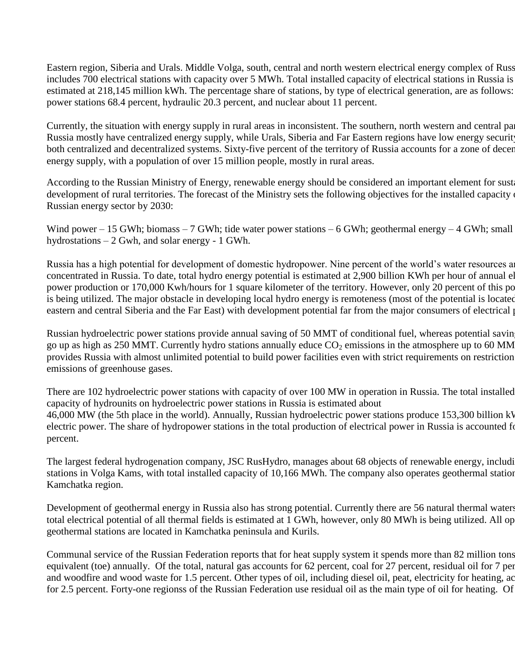Eastern region, Siberia and Urals. Middle Volga, south, central and north western electrical energy complex of Russia includes 700 electrical stations with capacity over 5 MWh. Total installed capacity of electrical stations in Russia is estimated at 218,145 million kWh. The percentage share of stations, by type of electrical generation, are as follows: power stations 68.4 percent, hydraulic 20.3 percent, and nuclear about 11 percent.

Currently, the situation with energy supply in rural areas in inconsistent. The southern, north western and central parties of Russia mostly have centralized energy supply, while Urals, Siberia and Far Eastern regions have low energy securit both centralized and decentralized systems. Sixty-five percent of the territory of Russia accounts for a zone of decentralized energy supply, with a population of over 15 million people, mostly in rural areas.

According to the Russian Ministry of Energy, renewable energy should be considered an important element for sust development of rural territories. The forecast of the Ministry sets the following objectives for the installed capacity Russian energy sector by 2030:

Wind power – 15 GWh; biomass – 7 GWh; tide water power stations – 6 GWh; geothermal energy – 4 GWh; small hydrostations – 2 Gwh, and solar energy - 1 GWh.

Russia has a high potential for development of domestic hydropower. Nine percent of the world's water resources are concentrated in Russia. To date, total hydro energy potential is estimated at 2,900 billion KWh per hour of annual el power production or 170,000 Kwh/hours for 1 square kilometer of the territory. However, only 20 percent of this po is being utilized. The major obstacle in developing local hydro energy is remoteness (most of the potential is located eastern and central Siberia and the Far East) with development potential far from the major consumers of electrical power.

Russian hydroelectric power stations provide annual saving of 50 MMT of conditional fuel, whereas potential savin go up as high as 250 MMT. Currently hydro stations annually educe  $CO_2$  emissions in the atmosphere up to 60 MM provides Russia with almost unlimited potential to build power facilities even with strict requirements on restriction emissions of greenhouse gases.

There are 102 hydroelectric power stations with capacity of over 100 MW in operation in Russia. The total installed capacity of hydrounits on hydroelectric power stations in Russia is estimated about 46,000 MW (the 5th place in the world). Annually, Russian hydroelectric power stations produce 153,300 billion kN electric power. The share of hydropower stations in the total production of electrical power in Russia is accounted for percent.

The largest federal hydrogenation company, JSC RusHydro, manages about 68 objects of renewable energy, including stations in Volga Kams, with total installed capacity of 10,166 MWh. The company also operates geothermal station Kamchatka region.

Development of geothermal energy in Russia also has strong potential. Currently there are 56 natural thermal waters. total electrical potential of all thermal fields is estimated at 1 GWh, however, only 80 MWh is being utilized. All op geothermal stations are located in Kamchatka peninsula and Kurils.

Communal service of the Russian Federation reports that for heat supply system it spends more than 82 million tons equivalent (toe) annually. Of the total, natural gas accounts for 62 percent, coal for 27 percent, residual oil for 7 percent, and woodfire and wood waste for 1.5 percent. Other types of oil, including diesel oil, peat, electricity for heating, ac for 2.5 percent. Forty-one regionss of the Russian Federation use residual oil as the main type of oil for heating. Of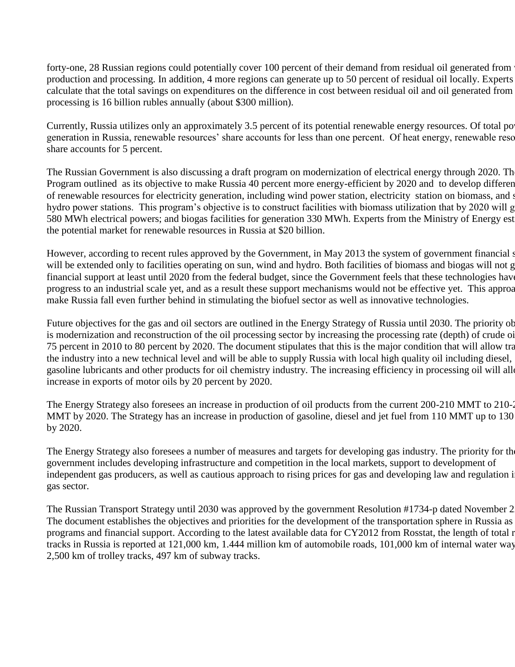forty-one, 28 Russian regions could potentially cover 100 percent of their demand from residual oil generated from production and processing. In addition, 4 more regions can generate up to 50 percent of residual oil locally. Experts calculate that the total savings on expenditures on the difference in cost between residual oil and oil generated from processing is 16 billion rubles annually (about \$300 million).

Currently, Russia utilizes only an approximately 3.5 percent of its potential renewable energy resources. Of total po generation in Russia, renewable resources' share accounts for less than one percent. Of heat energy, renewable reso share accounts for 5 percent.

The Russian Government is also discussing a draft program on modernization of electrical energy through 2020. The Program outlined as its objective to make Russia 40 percent more energy-efficient by 2020 and to develop different of renewable resources for electricity generation, including wind power station, electricity station on biomass, and s hydro power stations. This program's objective is to construct facilities with biomass utilization that by 2020 will g 580 MWh electrical powers; and biogas facilities for generation 330 MWh. Experts from the Ministry of Energy est the potential market for renewable resources in Russia at \$20 billion.

However, according to recent rules approved by the Government, in May 2013 the system of government financial s will be extended only to facilities operating on sun, wind and hydro. Both facilities of biomass and biogas will not g financial support at least until 2020 from the federal budget, since the Government feels that these technologies have progress to an industrial scale yet, and as a result these support mechanisms would not be effective yet. This approach make Russia fall even further behind in stimulating the biofuel sector as well as innovative technologies.

Future objectives for the gas and oil sectors are outlined in the Energy Strategy of Russia until 2030. The priority ob is modernization and reconstruction of the oil processing sector by increasing the processing rate (depth) of crude oi 75 percent in 2010 to 80 percent by 2020. The document stipulates that this is the major condition that will allow tra the industry into a new technical level and will be able to supply Russia with local high quality oil including diesel, gasoline lubricants and other products for oil chemistry industry. The increasing efficiency in processing oil will allo increase in exports of motor oils by 20 percent by 2020.

The Energy Strategy also foresees an increase in production of oil products from the current 200-210 MMT to 210-235 MMT by 2020. The Strategy has an increase in production of gasoline, diesel and jet fuel from 110 MMT up to 130 by 2020.

The Energy Strategy also foresees a number of measures and targets for developing gas industry. The priority for the government includes developing infrastructure and competition in the local markets, support to development of independent gas producers, as well as cautious approach to rising prices for gas and developing law and regulation i gas sector.

The Russian Transport Strategy until 2030 was approved by the government Resolution #1734-p dated November 2 The document establishes the objectives and priorities for the development of the transportation sphere in Russia as programs and financial support. According to the latest available data for CY2012 from Rosstat, the length of total r tracks in Russia is reported at 121,000 km, 1.444 million km of automobile roads, 101,000 km of internal water ways, 2,500 km of trolley tracks, 497 km of subway tracks.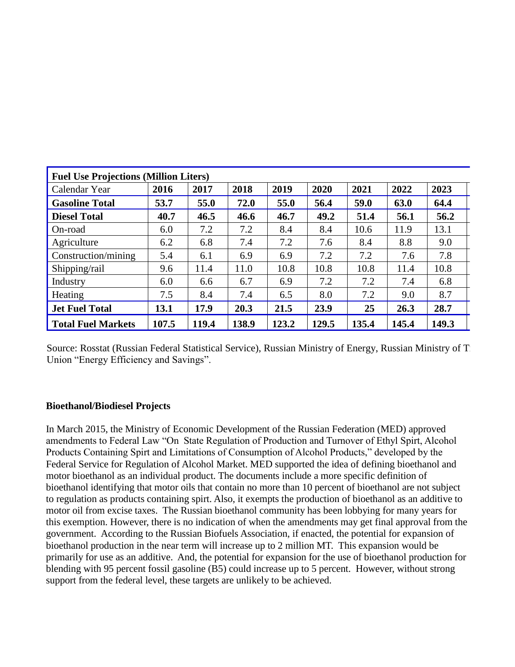| <b>Fuel Use Projections (Million Liters)</b> |       |       |       |       |       |       |       |       |
|----------------------------------------------|-------|-------|-------|-------|-------|-------|-------|-------|
| Calendar Year                                | 2016  | 2017  | 2018  | 2019  | 2020  | 2021  | 2022  | 2023  |
| <b>Gasoline Total</b>                        | 53.7  | 55.0  | 72.0  | 55.0  | 56.4  | 59.0  | 63.0  | 64.4  |
| <b>Diesel Total</b>                          | 40.7  | 46.5  | 46.6  | 46.7  | 49.2  | 51.4  | 56.1  | 56.2  |
| On-road                                      | 6.0   | 7.2   | 7.2   | 8.4   | 8.4   | 10.6  | 11.9  | 13.1  |
| Agriculture                                  | 6.2   | 6.8   | 7.4   | 7.2   | 7.6   | 8.4   | 8.8   | 9.0   |
| Construction/mining                          | 5.4   | 6.1   | 6.9   | 6.9   | 7.2   | 7.2   | 7.6   | 7.8   |
| Shipping/rail                                | 9.6   | 11.4  | 11.0  | 10.8  | 10.8  | 10.8  | 11.4  | 10.8  |
| Industry                                     | 6.0   | 6.6   | 6.7   | 6.9   | 7.2   | 7.2   | 7.4   | 6.8   |
| Heating                                      | 7.5   | 8.4   | 7.4   | 6.5   | 8.0   | 7.2   | 9.0   | 8.7   |
| Jet Fuel Total                               | 13.1  | 17.9  | 20.3  | 21.5  | 23.9  | 25    | 26.3  | 28.7  |
| Total Fuel Markets                           | 107.5 | 119.4 | 138.9 | 123.2 | 129.5 | 135.4 | 145.4 | 149.3 |

Source: Rosstat (Russian Federal Statistical Service), Russian Ministry of Energy, Russian Ministry of T Union "Energy Efficiency and Savings".

#### **Bioethanol/Biodiesel Projects**

In March 2015, the Ministry of Economic Development of the Russian Federation (MED) approved amendments to Federal Law "On State Regulation of Production and Turnover of Ethyl Spirt, Alcohol Products Containing Spirt and Limitations of Consumption of Alcohol Products," developed by the Federal Service for Regulation of Alcohol Market. MED supported the idea of defining bioethanol and motor bioethanol as an individual product. The documents include a more specific definition of bioethanol identifying that motor oils that contain no more than 10 percent of bioethanol are not subject to regulation as products containing spirt. Also, it exempts the production of bioethanol as an additive to motor oil from excise taxes. The Russian bioethanol community has been lobbying for many years for this exemption. However, there is no indication of when the amendments may get final approval from the government. According to the Russian Biofuels Association, if enacted, the potential for expansion of bioethanol production in the near term will increase up to 2 million MT. This expansion would be primarily for use as an additive. And, the potential for expansion for the use of bioethanol production for blending with 95 percent fossil gasoline (B5) could increase up to 5 percent. However, without strong support from the federal level, these targets are unlikely to be achieved.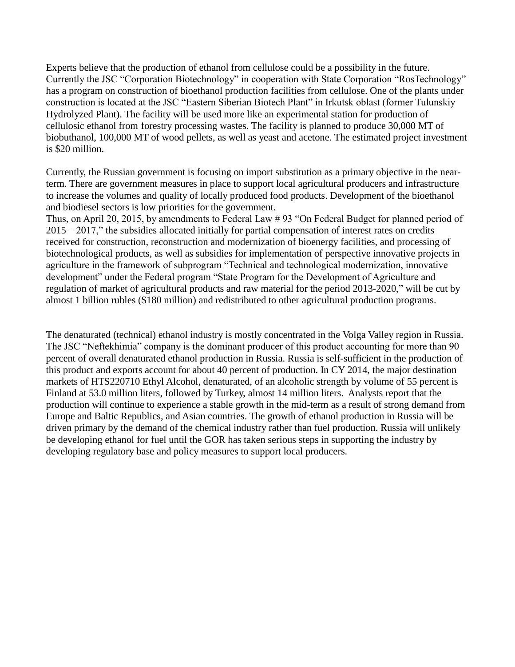Experts believe that the production of ethanol from cellulose could be a possibility in the future. Currently the JSC "Corporation Biotechnology" in cooperation with State Corporation "RosTechnology" has a program on construction of bioethanol production facilities from cellulose. One of the plants under construction is located at the JSC "Eastern Siberian Biotech Plant" in Irkutsk oblast (former Tulunskiy Hydrolyzed Plant). The facility will be used more like an experimental station for production of cellulosic ethanol from forestry processing wastes. The facility is planned to produce 30,000 MT of biobuthanol, 100,000 MT of wood pellets, as well as yeast and acetone. The estimated project investment is \$20 million.

Currently, the Russian government is focusing on import substitution as a primary objective in the nearterm. There are government measures in place to support local agricultural producers and infrastructure to increase the volumes and quality of locally produced food products. Development of the bioethanol and biodiesel sectors is low priorities for the government.

Thus, on April 20, 2015, by amendments to Federal Law # 93 "On Federal Budget for planned period of 2015 – 2017," the subsidies allocated initially for partial compensation of interest rates on credits received for construction, reconstruction and modernization of bioenergy facilities, and processing of biotechnological products, as well as subsidies for implementation of perspective innovative projects in agriculture in the framework of subprogram "Technical and technological modernization, innovative development" under the Federal program "State Program for the Development of Agriculture and regulation of market of agricultural products and raw material for the period 2013-2020," will be cut by almost 1 billion rubles (\$180 million) and redistributed to other agricultural production programs.

The denaturated (technical) ethanol industry is mostly concentrated in the Volga Valley region in Russia. The JSC "Neftekhimia" company is the dominant producer of this product accounting for more than 90 percent of overall denaturated ethanol production in Russia. Russia is self-sufficient in the production of this product and exports account for about 40 percent of production. In CY 2014, the major destination markets of HTS220710 Ethyl Alcohol, denaturated, of an alcoholic strength by volume of 55 percent is Finland at 53.0 million liters, followed by Turkey, almost 14 million liters. Analysts report that the production will continue to experience a stable growth in the mid-term as a result of strong demand from Europe and Baltic Republics, and Asian countries. The growth of ethanol production in Russia will be driven primary by the demand of the chemical industry rather than fuel production. Russia will unlikely be developing ethanol for fuel until the GOR has taken serious steps in supporting the industry by developing regulatory base and policy measures to support local producers.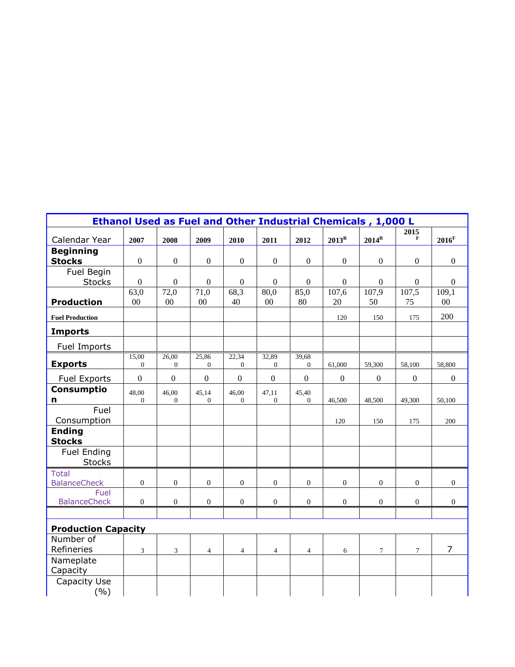| Ethanol Used as Fuel and Other Industrial Chemicals, 1,000 L |                       |                         |                       |                         |                         |                       |                |                  |                  |                     |
|--------------------------------------------------------------|-----------------------|-------------------------|-----------------------|-------------------------|-------------------------|-----------------------|----------------|------------------|------------------|---------------------|
| Calendar Year                                                | 2007                  | 2008                    | 2009                  | 2010                    | 2011                    | 2012                  | $2013^R$       | $2014^R$         | 2015<br>F        | $2016$ <sup>F</sup> |
| <b>Beginning</b><br><b>Stocks</b>                            | $\boldsymbol{0}$      | $\boldsymbol{0}$        | $\boldsymbol{0}$      | $\mathbf{0}$            | $\boldsymbol{0}$        | $\boldsymbol{0}$      | $\overline{0}$ | $\boldsymbol{0}$ | $\boldsymbol{0}$ | $\mathbf{0}$        |
| Fuel Begin                                                   |                       |                         |                       |                         |                         |                       |                |                  |                  |                     |
| <b>Stocks</b>                                                | $\boldsymbol{0}$      | $\boldsymbol{0}$        | $\boldsymbol{0}$      | $\boldsymbol{0}$        | $\boldsymbol{0}$        | $\boldsymbol{0}$      | $\mathbf{0}$   | $\boldsymbol{0}$ | $\mathbf{0}$     | $\boldsymbol{0}$    |
|                                                              | 63,0                  | 72,0                    | 71,0                  | 68,3                    | 80,0                    | 85,0                  | 107,6          | 107,9            | 107,5            | 109,1               |
| <b>Production</b>                                            | 00                    | $00\,$                  | 00                    | 40                      | 00                      | 80                    | 20             | 50               | 75               | $00\,$              |
| <b>Fuel Production</b>                                       |                       |                         |                       |                         |                         |                       | 120            | 150              | 175              | 200                 |
| <b>Imports</b>                                               |                       |                         |                       |                         |                         |                       |                |                  |                  |                     |
| Fuel Imports                                                 |                       |                         |                       |                         |                         |                       |                |                  |                  |                     |
| <b>Exports</b>                                               | 15,00<br>$\mathbf{0}$ | 26,00<br>$\overline{0}$ | 25,86<br>$\mathbf{0}$ | 22,34<br>$\overline{0}$ | 32,89<br>$\overline{0}$ | 39,68<br>$\mathbf{0}$ | 61,000         | 59,300           | 58,100           | 58,800              |
| <b>Fuel Exports</b>                                          | $\mathbf{0}$          | $\mathbf{0}$            | $\mathbf{0}$          | $\mathbf{0}$            | $\mathbf{0}$            | $\boldsymbol{0}$      | $\overline{0}$ | $\boldsymbol{0}$ | $\boldsymbol{0}$ | $\boldsymbol{0}$    |
| Consumptio                                                   | 48,00                 | 46,00                   | 45,14                 | 46,00                   | 47,11                   | 45,40                 |                |                  |                  |                     |
| n                                                            | $\mathbf{0}$          | $\mathbf{0}$            | $\mathbf{0}$          | $\theta$                | $\mathbf{0}$            | $\mathbf{0}$          | 46,500         | 48,500           | 49,300           | 50,100              |
| Fuel<br>Consumption                                          |                       |                         |                       |                         |                         |                       | 120            | 150              | 175              | 200                 |
| <b>Ending</b><br><b>Stocks</b>                               |                       |                         |                       |                         |                         |                       |                |                  |                  |                     |
| <b>Fuel Ending</b><br><b>Stocks</b>                          |                       |                         |                       |                         |                         |                       |                |                  |                  |                     |
| <b>Total</b>                                                 |                       |                         |                       |                         |                         |                       |                |                  |                  |                     |
| <b>BalanceCheck</b>                                          | $\boldsymbol{0}$      | $\overline{0}$          | $\theta$              | $\boldsymbol{0}$        | $\overline{0}$          | $\mathbf{0}$          | $\overline{0}$ | $\mathbf{0}$     | $\boldsymbol{0}$ | $\mathbf{0}$        |
| Fuel<br><b>BalanceCheck</b>                                  | $\mathbf{0}$          | $\overline{0}$          | $\mathbf{0}$          | $\overline{0}$          | $\mathbf{0}$            | $\overline{0}$        | $\overline{0}$ | $\mathbf{0}$     | $\overline{0}$   | $\overline{0}$      |
|                                                              |                       |                         |                       |                         |                         |                       |                |                  |                  |                     |
| <b>Production Capacity</b>                                   |                       |                         |                       |                         |                         |                       |                |                  |                  |                     |
| Number of<br>Refineries                                      | 3                     | 3                       | $\overline{4}$        | $\overline{4}$          | $\overline{4}$          | $\overline{4}$        | 6              | $\overline{7}$   | $\tau$           | $\overline{7}$      |
| Nameplate<br>Capacity                                        |                       |                         |                       |                         |                         |                       |                |                  |                  |                     |
| Capacity Use<br>( %)                                         |                       |                         |                       |                         |                         |                       |                |                  |                  |                     |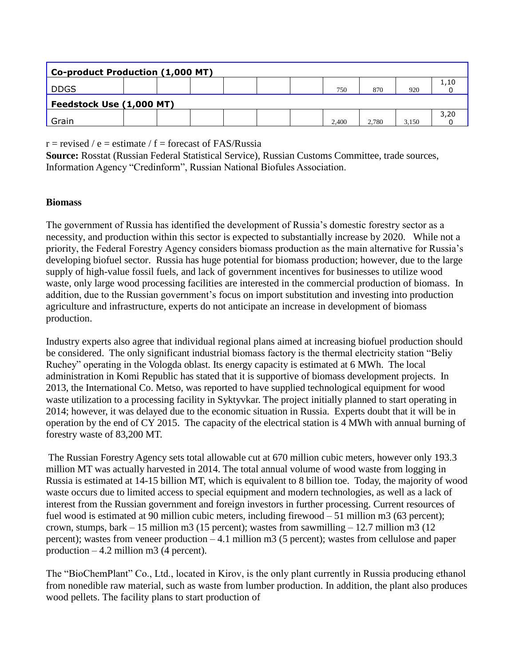| Co-product Production (1,000 MT) |  |  |  |  |  |  |       |       |       |      |
|----------------------------------|--|--|--|--|--|--|-------|-------|-------|------|
| <b>DDGS</b>                      |  |  |  |  |  |  | 750   | 870   | 920   | 1,10 |
| Feedstock Use (1,000 MT)         |  |  |  |  |  |  |       |       |       |      |
| Grain                            |  |  |  |  |  |  | 2.400 | 2.780 | 3.150 | 3,20 |

 $r =$  revised / e = estimate / f = forecast of FAS/Russia

**Source:** Rosstat (Russian Federal Statistical Service), Russian Customs Committee, trade sources, Information Agency "Credinform", Russian National Biofules Association.

#### **Biomass**

The government of Russia has identified the development of Russia's domestic forestry sector as a necessity, and production within this sector is expected to substantially increase by 2020. While not a priority, the Federal Forestry Agency considers biomass production as the main alternative for Russia's developing biofuel sector.Russia has huge potential for biomass production; however, due to the large supply of high-value fossil fuels, and lack of government incentives for businesses to utilize wood waste, only large wood processing facilities are interested in the commercial production of biomass. In addition, due to the Russian government's focus on import substitution and investing into production agriculture and infrastructure, experts do not anticipate an increase in development of biomass production.

Industry experts also agree that individual regional plans aimed at increasing biofuel production should be considered. The only significant industrial biomass factory is the thermal electricity station "Beliy Ruchey" operating in the Vologda oblast. Its energy capacity is estimated at 6 MWh. The local administration in Komi Republic has stated that it is supportive of biomass development projects. In 2013, the International Co. Metso, was reported to have supplied technological equipment for wood waste utilization to a processing facility in Syktyvkar. The project initially planned to start operating in 2014; however, it was delayed due to the economic situation in Russia. Experts doubt that it will be in operation by the end of CY 2015. The capacity of the electrical station is 4 MWh with annual burning of forestry waste of 83,200 MT.

The Russian Forestry Agency sets total allowable cut at 670 million cubic meters, however only 193.3 million MT was actually harvested in 2014. The total annual volume of wood waste from logging in Russia is estimated at 14-15 billion MT, which is equivalent to 8 billion toe. Today, the majority of wood waste occurs due to limited access to special equipment and modern technologies, as well as a lack of interest from the Russian government and foreign investors in further processing. Current resources of fuel wood is estimated at 90 million cubic meters, including firewood – 51 million m3 (63 percent); crown, stumps, bark  $-15$  million m3 (15 percent); wastes from sawmilling  $-12.7$  million m3 (12) percent); wastes from veneer production – 4.1 million m3 (5 percent); wastes from cellulose and paper production  $-4.2$  million m3 (4 percent).

The "BioChemPlant" Co., Ltd., located in Kirov, is the only plant currently in Russia producing ethanol from nonedible raw material, such as waste from lumber production. In addition, the plant also produces wood pellets. The facility plans to start production of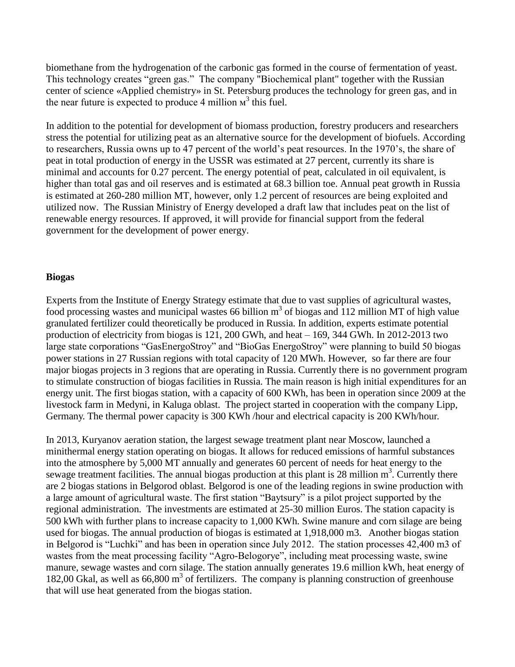biomethane from the hydrogenation of the carbonic gas formed in the course of fermentation of yeast. This technology creates "green gas." The company "Biochemical plant" together with the Russian center of science «Applied chemistry» in St. Petersburg produces the technology for green gas, and in the near future is expected to produce 4 million  $M<sup>3</sup>$  this fuel.

In addition to the potential for development of biomass production, forestry producers and researchers stress the potential for utilizing peat as an alternative source for the development of biofuels. According to researchers, Russia owns up to 47 percent of the world's peat resources. In the 1970's, the share of peat in total production of energy in the USSR was estimated at 27 percent, currently its share is minimal and accounts for 0.27 percent. The energy potential of peat, calculated in oil equivalent, is higher than total gas and oil reserves and is estimated at 68.3 billion toe. Annual peat growth in Russia is estimated at 260-280 million MT, however, only 1.2 percent of resources are being exploited and utilized now. The Russian Ministry of Energy developed a draft law that includes peat on the list of renewable energy resources. If approved, it will provide for financial support from the federal government for the development of power energy.

#### **Biogas**

Experts from the Institute of Energy Strategy estimate that due to vast supplies of agricultural wastes, food processing wastes and municipal wastes 66 billion  $m<sup>3</sup>$  of biogas and 112 million MT of high value granulated fertilizer could theoretically be produced in Russia. In addition, experts estimate potential production of electricity from biogas is 121, 200 GWh, and heat – 169, 344 GWh. In 2012-2013 two large state corporations "GasEnergoStroy" and "BioGas EnergoStroy" were planning to build 50 biogas power stations in 27 Russian regions with total capacity of 120 MWh. However, so far there are four major biogas projects in 3 regions that are operating in Russia. Currently there is no government program to stimulate construction of biogas facilities in Russia. The main reason is high initial expenditures for an energy unit. The first biogas station, with a capacity of 600 KWh, has been in operation since 2009 at the livestock farm in Medyni, in Kaluga oblast. The project started in cooperation with the company Lipp, Germany. The thermal power capacity is 300 KWh /hour and electrical capacity is 200 KWh/hour.

In 2013, Kuryanov aeration station, the largest sewage treatment plant near Moscow, launched a minithermal energy station operating on biogas. It allows for reduced emissions of harmful substances into the atmosphere by 5,000 MT annually and generates 60 percent of needs for heat energy to the sewage treatment facilities. The annual biogas production at this plant is 28 million  $m<sup>3</sup>$ . Currently there are 2 biogas stations in Belgorod oblast. Belgorod is one of the leading regions in swine production with a large amount of agricultural waste. The first station "Baytsury" is a pilot project supported by the regional administration. The investments are estimated at 25-30 million Euros. The station capacity is 500 kWh with further plans to increase capacity to 1,000 KWh. Swine manure and corn silage are being used for biogas. The annual production of biogas is estimated at 1,918,000 m3. Another biogas station in Belgorod is "Luchki" and has been in operation since July 2012. The station processes 42,400 m3 of wastes from the meat processing facility "Agro-Belogorye", including meat processing waste, swine manure, sewage wastes and corn silage. The station annually generates 19.6 million kWh, heat energy of 182,00 Gkal, as well as 66,800 m<sup>3</sup> of fertilizers. The company is planning construction of greenhouse that will use heat generated from the biogas station.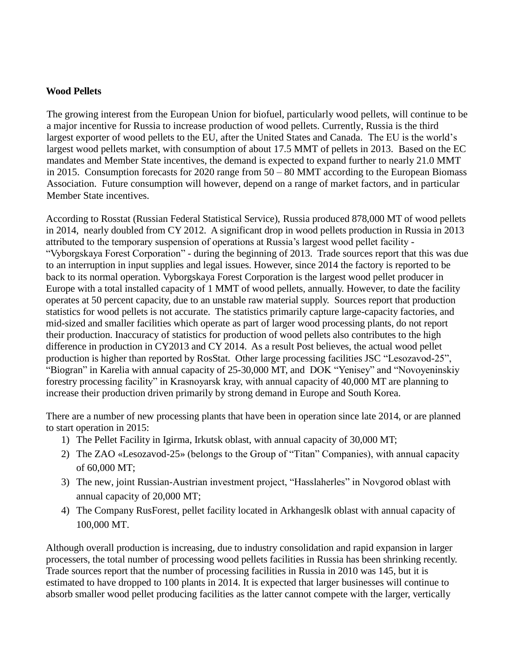#### **Wood Pellets**

The growing interest from the European Union for biofuel, particularly wood pellets, will continue to be a major incentive for Russia to increase production of wood pellets. Currently, Russia is the third largest exporter of wood pellets to the EU, after the United States and Canada. The EU is the world's largest wood pellets market, with consumption of about 17.5 MMT of pellets in 2013. Based on the EC mandates and Member State incentives, the demand is expected to expand further to nearly 21.0 MMT in 2015. Consumption forecasts for 2020 range from 50 – 80 MMT according to the European Biomass Association. Future consumption will however, depend on a range of market factors, and in particular Member State incentives.

According to Rosstat (Russian Federal Statistical Service), Russia produced 878,000 MT of wood pellets in 2014, nearly doubled from CY 2012. A significant drop in wood pellets production in Russia in 2013 attributed to the temporary suspension of operations at Russia's largest wood pellet facility - "Vyborgskaya Forest Corporation" - during the beginning of 2013. Trade sources report that this was due to an interruption in input supplies and legal issues. However, since 2014 the factory is reported to be back to its normal operation. Vyborgskaya Forest Corporation is the largest wood pellet producer in Europe with a total installed capacity of 1 MMT of wood pellets, annually. However, to date the facility operates at 50 percent capacity, due to an unstable raw material supply. Sources report that production statistics for wood pellets is not accurate. The statistics primarily capture large-capacity factories, and mid-sized and smaller facilities which operate as part of larger wood processing plants, do not report their production. Inaccuracy of statistics for production of wood pellets also contributes to the high difference in production in CY2013 and CY 2014. As a result Post believes, the actual wood pellet production is higher than reported by RosStat. Other large processing facilities JSC "Lesozavod-25", "Biogran" in Karelia with annual capacity of 25-30,000 MT, and DOK "Yenisey" and "Novoyeninskiy forestry processing facility" in Krasnoyarsk kray, with annual capacity of 40,000 MT are planning to increase their production driven primarily by strong demand in Europe and South Korea.

There are a number of new processing plants that have been in operation since late 2014, or are planned to start operation in 2015:

- 1) The Pellet Facility in Igirma, Irkutsk oblast, with annual capacity of 30,000 MT;
- 2) The ZAO «Lesozavod-25» (belongs to the Group of "Titan" Companies), with annual capacity of 60,000 MT;
- 3) The new, joint Russian-Austrian investment project, "Hasslaherles" in Novgorod oblast with annual capacity of 20,000 MT;
- 4) The Company RusForest, pellet facility located in Arkhangeslk oblast with annual capacity of 100,000 MT.

Although overall production is increasing, due to industry consolidation and rapid expansion in larger processers, the total number of processing wood pellets facilities in Russia has been shrinking recently. Trade sources report that the number of processing facilities in Russia in 2010 was 145, but it is estimated to have dropped to 100 plants in 2014. It is expected that larger businesses will continue to absorb smaller wood pellet producing facilities as the latter cannot compete with the larger, vertically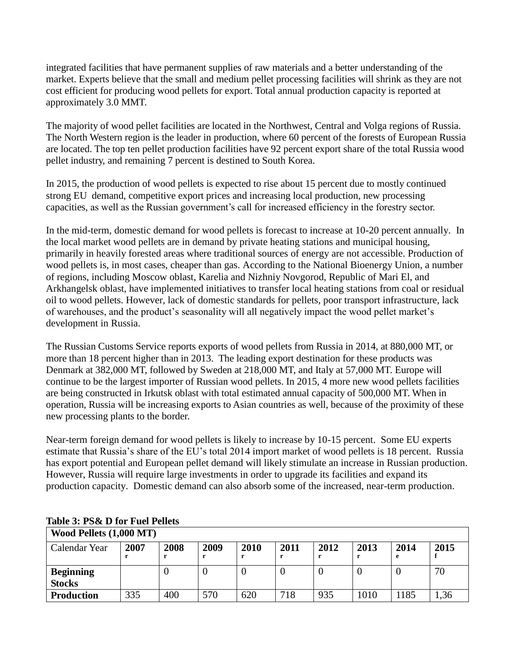integrated facilities that have permanent supplies of raw materials and a better understanding of the market. Experts believe that the small and medium pellet processing facilities will shrink as they are not cost efficient for producing wood pellets for export. Total annual production capacity is reported at approximately 3.0 MMT.

The majority of wood pellet facilities are located in the Northwest, Central and Volga regions of Russia. The North Western region is the leader in production, where 60 percent of the forests of European Russia are located. The top ten pellet production facilities have 92 percent export share of the total Russia wood pellet industry, and remaining 7 percent is destined to South Korea.

In 2015, the production of wood pellets is expected to rise about 15 percent due to mostly continued strong EU demand, competitive export prices and increasing local production, new processing capacities, as well as the Russian government's call for increased efficiency in the forestry sector.

In the mid-term, domestic demand for wood pellets is forecast to increase at 10-20 percent annually. In the local market wood pellets are in demand by private heating stations and municipal housing, primarily in heavily forested areas where traditional sources of energy are not accessible. Production of wood pellets is, in most cases, cheaper than gas. According to the National Bioenergy Union, a number of regions, including Moscow oblast, Karelia and Nizhniy Novgorod, Republic of Mari El, and Arkhangelsk oblast, have implemented initiatives to transfer local heating stations from coal or residual oil to wood pellets. However, lack of domestic standards for pellets, poor transport infrastructure, lack of warehouses, and the product's seasonality will all negatively impact the wood pellet market's development in Russia.

The Russian Customs Service reports exports of wood pellets from Russia in 2014, at 880,000 MT, or more than 18 percent higher than in 2013. The leading export destination for these products was Denmark at 382,000 MT, followed by Sweden at 218,000 MT, and Italy at 57,000 MT. Europe will continue to be the largest importer of Russian wood pellets. In 2015, 4 more new wood pellets facilities are being constructed in Irkutsk oblast with total estimated annual capacity of 500,000 MT. When in operation, Russia will be increasing exports to Asian countries as well, because of the proximity of these new processing plants to the border.

Near-term foreign demand for wood pellets is likely to increase by 10-15 percent. Some EU experts estimate that Russia's share of the EU's total 2014 import market of wood pellets is 18 percent. Russia has export potential and European pellet demand will likely stimulate an increase in Russian production. However, Russia will require large investments in order to upgrade its facilities and expand its production capacity. Domestic demand can also absorb some of the increased, near-term production.

| Wood Pellets $(1,000$ MT $)$ |      |      |      |      |      |      |      |           |      |  |
|------------------------------|------|------|------|------|------|------|------|-----------|------|--|
| Calendar Year                | 2007 | 2008 | 2009 | 2010 | 2011 | 2012 | 2013 | 2014<br>е | 2015 |  |
| <b>Beginning</b>             |      | U    |      |      |      | U    | U    |           | 70   |  |
| <b>Stocks</b>                |      |      |      |      |      |      |      |           |      |  |
| <b>Production</b>            | 335  | 400  | 570  | 620  | 718  | 935  | 1010 | 1185      | 1.36 |  |

# **Table 3: PS& D for Fuel Pellets**